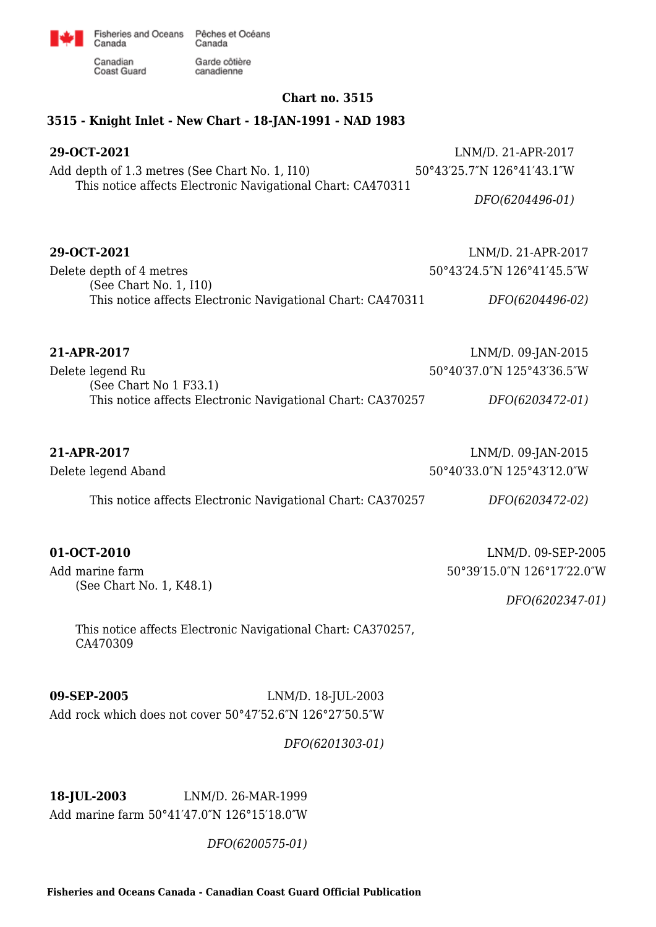

Fisheries and Oceans Pêches et Océans Canada Garde côtière

Canadian Coast Guard

Canada

### **Chart no. 3515**

## **3515 - Knight Inlet - New Chart - 18-JAN-1991 - NAD 1983**

canadienne

| 29-OCT-2021<br>Add depth of 1.3 metres (See Chart No. 1, I10)<br>This notice affects Electronic Navigational Chart: CA470311 | LNM/D. 21-APR-2017<br>50°43'25.7"N 126°41'43.1"W |
|------------------------------------------------------------------------------------------------------------------------------|--------------------------------------------------|
|                                                                                                                              | DFO(6204496-01)                                  |
| 29-OCT-2021                                                                                                                  | LNM/D. 21-APR-2017                               |
| Delete depth of 4 metres<br>(See Chart No. 1, I10)                                                                           | 50°43'24.5"N 126°41'45.5"W                       |
| This notice affects Electronic Navigational Chart: CA470311                                                                  | DFO(6204496-02)                                  |
| 21-APR-2017                                                                                                                  | LNM/D. 09-JAN-2015                               |
| Delete legend Ru<br>(See Chart No 1 F33.1)                                                                                   | 50°40'37.0"N 125°43'36.5"W                       |
| This notice affects Electronic Navigational Chart: CA370257                                                                  | DFO(6203472-01)                                  |
| 21-APR-2017                                                                                                                  | LNM/D. 09-JAN-2015                               |
| Delete legend Aband                                                                                                          | 50°40'33.0"N 125°43'12.0"W                       |
| This notice affects Electronic Navigational Chart: CA370257                                                                  | DFO(6203472-02)                                  |

Add marine farm (See Chart No. 1, K48.1)

**01-OCT-2010** LNM/D. 09-SEP-2005 50°39′15.0″N 126°17′22.0″W

*DFO(6202347-01)*

This notice affects Electronic Navigational Chart: CA370257, CA470309

**09-SEP-2005** LNM/D. 18-JUL-2003 Add rock which does not cover 50°47′52.6″N 126°27′50.5″W

*DFO(6201303-01)*

**18-JUL-2003** LNM/D. 26-MAR-1999 Add marine farm 50°41′47.0″N 126°15′18.0″W

*DFO(6200575-01)*